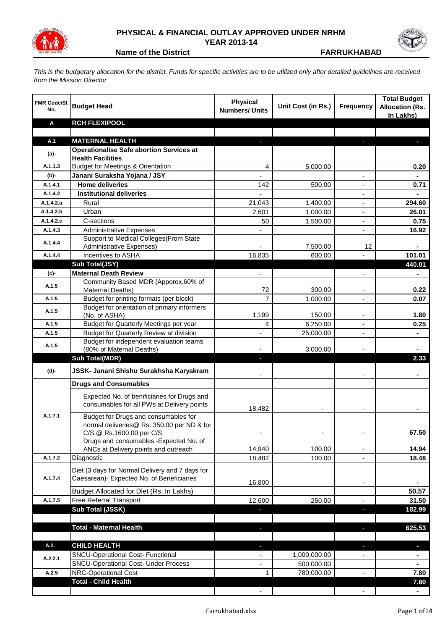

## **PHYSICAL & FINANCIAL OUTLAY APPROVED UNDER NRHM YEAR 2013-14**



**Name of the District Contract Contract Contract Contract Contract Contract Contract Contract Contract Contract Contract Contract Contract Contract Contract Contract Contract Contract Contract Contract Contract Contract Co** 

*This is the budgetary allocation for the district. Funds for specific activities are to be utilized only after detailed guidelines are received from the Mission Director*

| <b>FMR Code/SI.</b><br>No. | <b>Budget Head</b>                                                                        | <b>Physical</b><br><b>Numbers/ Units</b> | Unit Cost (in Rs.) | <b>Frequency</b>         | <b>Total Budget</b><br><b>Allocation (Rs.</b><br>In Lakhs) |
|----------------------------|-------------------------------------------------------------------------------------------|------------------------------------------|--------------------|--------------------------|------------------------------------------------------------|
| Α                          | <b>RCH FLEXIPOOL</b>                                                                      |                                          |                    |                          |                                                            |
|                            |                                                                                           |                                          |                    |                          |                                                            |
| A.1                        | <b>MATERNAL HEALTH</b>                                                                    |                                          |                    |                          |                                                            |
| (a)-                       | <b>Operationalise Safe abortion Services at</b><br><b>Health Facilities</b>               |                                          |                    |                          |                                                            |
| A.1.1.3                    | <b>Budget for Meetings &amp; Orientation</b>                                              | 4                                        | 5,000.00           |                          | 0.20                                                       |
| $(b)$ -                    | Janani Suraksha Yojana / JSY                                                              |                                          |                    |                          |                                                            |
| A.1.4.1                    | <b>Home deliveries</b>                                                                    | 142                                      | 500.00             |                          | 0.71                                                       |
| A.1.4.2                    | <b>Institutional deliveries</b>                                                           |                                          |                    |                          |                                                            |
| A.1.4.2.a                  | Rural                                                                                     | 21,043                                   | 1,400.00           |                          | 294.60                                                     |
| A.1.4.2.b                  | Urban                                                                                     | 2,601                                    | 1,000.00           | $\overline{\phantom{a}}$ | 26.01                                                      |
| A.1.4.2.c                  | C-sections                                                                                | 50                                       | 1,500.00           | $\overline{\phantom{a}}$ | 0.75                                                       |
| A.1.4.3                    | <b>Administrative Expenses</b>                                                            |                                          |                    |                          | 16.92                                                      |
| A.1.4.4                    | Support to Medical Colleges (From State                                                   |                                          |                    |                          |                                                            |
|                            | <b>Administrative Expenses)</b>                                                           |                                          | 7,500.00           | 12                       | Ξ.                                                         |
| A.1.4.4                    | Incentives to ASHA                                                                        | 16,835                                   | 600.00             |                          | 101.01                                                     |
|                            | Sub Total(JSY)<br><b>Maternal Death Review</b>                                            | $\overline{\phantom{0}}$                 |                    |                          | 440.01                                                     |
| (c)-                       | Community Based MDR (Apporox.60% of                                                       |                                          |                    |                          |                                                            |
| A.1.5                      | Maternal Deaths)                                                                          | 72                                       | 300.00             |                          | 0.22                                                       |
| A.1.5                      | Budget for printing formats (per block)                                                   | $\overline{7}$                           | 1,000.00           |                          | 0.07                                                       |
| A.1.5                      | Budget for orientation of primary informers<br>(No. of ASHA)                              | 1,199                                    | 150.00             |                          | 1.80                                                       |
| A.1.5                      | Budget for Quarterly Meetings per year                                                    | 4                                        | 6,250.00           |                          | 0.25                                                       |
| A.1.5                      | Budget for Quarterly Review at division                                                   |                                          | 25,000.00          | ٠                        | ۰                                                          |
|                            | Budget for independent evaluation teams                                                   |                                          |                    |                          |                                                            |
| A.1.5                      | (80% of Maternal Deaths)                                                                  |                                          | 3,000.00           |                          |                                                            |
|                            | <b>Sub Total(MDR)</b>                                                                     | ٠                                        |                    |                          | 2.33                                                       |
| (d)-                       | JSSK- Janani Shishu Surakhsha Karyakram                                                   |                                          |                    |                          |                                                            |
|                            | <b>Drugs and Consumables</b>                                                              |                                          |                    |                          |                                                            |
|                            | Expected No. of benificiaries for Drugs and<br>consumables for all PWs at Delivery points | 18,482                                   |                    |                          |                                                            |
| A.1.7.1                    | Budget for Drugs and consumables for                                                      |                                          |                    |                          |                                                            |
|                            | normal deliveries@ Rs. 350.00 per ND & for                                                |                                          |                    |                          |                                                            |
|                            | C/S @ Rs.1600.00 per C/S<br>Drugs and consumables - Expected No. of                       |                                          |                    |                          | 67.50                                                      |
|                            | ANCs at Delivery points and outreach                                                      | 14,940                                   | 100.00             |                          | 14.94                                                      |
| A.1.7.2                    | Diagnostic                                                                                | 18,482                                   | 100.00             |                          | 18.48                                                      |
|                            | Diet (3 days for Normal Delivery and 7 days for                                           |                                          |                    |                          |                                                            |
| A.1.7.4                    | Caesarean)- Expected No. of Beneficiaries                                                 |                                          |                    |                          |                                                            |
|                            |                                                                                           | 16,800                                   |                    |                          |                                                            |
|                            | Budget Allocated for Diet (Rs. In Lakhs)                                                  |                                          |                    |                          | 50.57                                                      |
| A.1.7.5                    | Free Referral Transport                                                                   | 12,600                                   | 250.00             |                          | 31.50                                                      |
|                            | Sub Total (JSSK)                                                                          |                                          |                    | J,                       | 182.99                                                     |
|                            | <b>Total - Maternal Health</b>                                                            | ٠                                        |                    | J,                       | 625.53                                                     |
|                            |                                                                                           |                                          |                    |                          |                                                            |
| A.2.                       | <b>CHILD HEALTH</b>                                                                       | ٠                                        |                    | ٠                        | ٠                                                          |
|                            | <b>SNCU-Operational Cost- Functional</b>                                                  | $\overline{\phantom{a}}$                 | 1,000,000.00       |                          |                                                            |
| A.2.2.1                    | <b>SNCU-Operational Cost- Under Process</b>                                               | $\blacksquare$                           | 500,000.00         |                          | $\blacksquare$                                             |
| A.2.5                      | NRC-Operational Cost                                                                      | 1                                        | 780,000.00         | $\frac{1}{2}$            | 7.80                                                       |
|                            | <b>Total - Child Health</b>                                                               |                                          |                    |                          | 7.80                                                       |
|                            |                                                                                           | $\overline{\phantom{a}}$                 |                    |                          | $\blacksquare$                                             |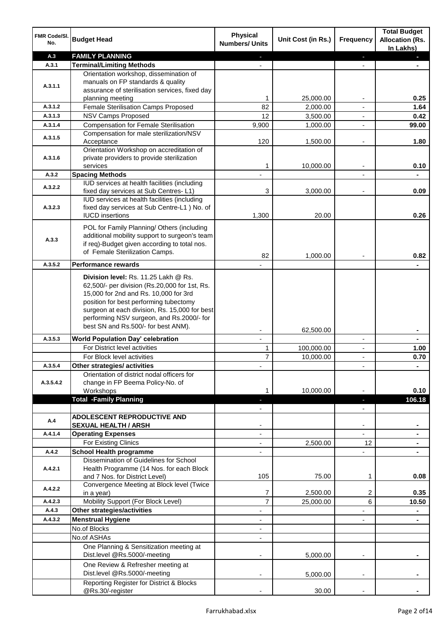| FMR Code/SI.<br>No. | <b>Budget Head</b>                                                                            | <b>Physical</b><br><b>Numbers/ Units</b> | Unit Cost (in Rs.)    | Frequency                | <b>Total Budget</b><br><b>Allocation (Rs.</b><br>In Lakhs) |
|---------------------|-----------------------------------------------------------------------------------------------|------------------------------------------|-----------------------|--------------------------|------------------------------------------------------------|
| A.3                 | <b>FAMILY PLANNING</b>                                                                        |                                          |                       | ٠                        |                                                            |
| A.3.1               | <b>Terminal/Limiting Methods</b>                                                              |                                          |                       |                          |                                                            |
|                     | Orientation workshop, dissemination of                                                        |                                          |                       |                          |                                                            |
| A.3.1.1             | manuals on FP standards & quality                                                             |                                          |                       |                          |                                                            |
|                     | assurance of sterilisation services, fixed day                                                | 1                                        |                       |                          | 0.25                                                       |
| A.3.1.2             | planning meeting<br>Female Sterilisation Camps Proposed                                       | 82                                       | 25,000.00<br>2,000.00 |                          | 1.64                                                       |
| A.3.1.3             | <b>NSV Camps Proposed</b>                                                                     | 12                                       | 3,500.00              | $\blacksquare$           | 0.42                                                       |
| A.3.1.4             | <b>Compensation for Female Sterilisation</b>                                                  | 9,900                                    | 1,000.00              | $\blacksquare$           | 99.00                                                      |
|                     | Compensation for male sterilization/NSV                                                       |                                          |                       |                          |                                                            |
| A.3.1.5             | Acceptance                                                                                    | 120                                      | 1,500.00              | $\overline{a}$           | 1.80                                                       |
|                     | Orientation Workshop on accreditation of                                                      |                                          |                       |                          |                                                            |
| A.3.1.6             | private providers to provide sterilization                                                    |                                          |                       |                          |                                                            |
|                     | services                                                                                      | 1                                        | 10,000.00             | $\blacksquare$           | 0.10                                                       |
| A.3.2               | <b>Spacing Methods</b>                                                                        |                                          |                       |                          |                                                            |
| A.3.2.2             | IUD services at health facilities (including                                                  |                                          |                       |                          |                                                            |
|                     | fixed day services at Sub Centres-L1)<br>IUD services at health facilities (including         | 3                                        | 3,000.00              |                          | 0.09                                                       |
| A.3.2.3             | fixed day services at Sub Centre-L1 ) No. of                                                  |                                          |                       |                          |                                                            |
|                     | <b>IUCD</b> insertions                                                                        | 1,300                                    | 20.00                 |                          | 0.26                                                       |
|                     |                                                                                               |                                          |                       |                          |                                                            |
|                     | POL for Family Planning/ Others (including                                                    |                                          |                       |                          |                                                            |
| A.3.3               | additional mobility support to surgeon's team<br>if req)-Budget given according to total nos. |                                          |                       |                          |                                                            |
|                     | of Female Sterilization Camps.                                                                |                                          |                       |                          |                                                            |
|                     |                                                                                               | 82                                       | 1,000.00              |                          | 0.82                                                       |
| A.3.5.2             | <b>Performance rewards</b>                                                                    |                                          |                       |                          |                                                            |
|                     | Division level: Rs. 11.25 Lakh @ Rs.                                                          |                                          |                       |                          |                                                            |
|                     | 62,500/- per division (Rs.20,000 for 1st, Rs.                                                 |                                          |                       |                          |                                                            |
|                     | 15,000 for 2nd and Rs. 10,000 for 3rd                                                         |                                          |                       |                          |                                                            |
|                     | position for best performing tubectomy<br>surgeon at each division, Rs. 15,000 for best       |                                          |                       |                          |                                                            |
|                     | performing NSV surgeon, and Rs.2000/- for                                                     |                                          |                       |                          |                                                            |
|                     | best SN and Rs.500/- for best ANM).                                                           |                                          |                       |                          |                                                            |
| A.3.5.3             |                                                                                               |                                          | 62,500.00             |                          |                                                            |
|                     | <b>World Population Day' celebration</b><br>For District level activities                     | $\mathbf{r}$                             |                       | $\blacksquare$           | $\blacksquare$                                             |
|                     |                                                                                               | 1                                        | 100,000.00            | $\overline{\phantom{a}}$ | 1.00                                                       |
| A.3.5.4             | For Block level activities<br>Other strategies/ activities                                    | 7                                        | 10,000.00             | $\blacksquare$           | 0.70                                                       |
|                     | Orientation of district nodal officers for                                                    |                                          |                       |                          |                                                            |
| A.3.5.4.2           | change in FP Beema Policy-No. of                                                              |                                          |                       |                          |                                                            |
|                     | Workshops                                                                                     |                                          | 10,000.00             |                          | 0.10                                                       |
|                     | <b>Total -Family Planning</b>                                                                 |                                          |                       |                          | 106.18                                                     |
|                     |                                                                                               |                                          |                       |                          |                                                            |
| A.4                 | <b>ADOLESCENT REPRODUCTIVE AND</b>                                                            |                                          |                       |                          |                                                            |
|                     | <b>SEXUAL HEALTH / ARSH</b>                                                                   |                                          |                       |                          |                                                            |
| A.4.1.4             | <b>Operating Expenses</b>                                                                     |                                          |                       |                          |                                                            |
|                     | For Existing Clinics                                                                          |                                          | 2,500.00              | 12                       |                                                            |
| A.4.2               | <b>School Health programme</b>                                                                |                                          |                       |                          |                                                            |
|                     | Dissemination of Guidelines for School                                                        |                                          |                       |                          |                                                            |
| A.4.2.1             | Health Programme (14 Nos. for each Block<br>and 7 Nos. for District Level)                    | 105                                      | 75.00                 | 1                        | 0.08                                                       |
|                     | Convergence Meeting at Block level (Twice                                                     |                                          |                       |                          |                                                            |
| A.4.2.2             | in a year)                                                                                    | 7                                        | 2,500.00              | 2                        | 0.35                                                       |
| A.4.2.3             | Mobility Support (For Block Level)                                                            | 7                                        | 25,000.00             | 6                        | 10.50                                                      |
| A.4.3               | <b>Other strategies/activities</b>                                                            |                                          |                       |                          |                                                            |
| A.4.3.2             | <b>Menstrual Hygiene</b>                                                                      |                                          |                       |                          |                                                            |
|                     | No.of Blocks                                                                                  |                                          |                       |                          |                                                            |
|                     | No.of ASHAs                                                                                   |                                          |                       |                          |                                                            |
|                     | One Planning & Sensitization meeting at                                                       |                                          |                       |                          |                                                            |
|                     | Dist.level @Rs.5000/-meeting                                                                  |                                          | 5,000.00              |                          |                                                            |
|                     | One Review & Refresher meeting at                                                             |                                          |                       |                          |                                                            |
|                     | Dist.level @Rs.5000/-meeting                                                                  |                                          | 5,000.00              |                          |                                                            |
|                     | Reporting Register for District & Blocks                                                      |                                          |                       |                          |                                                            |
|                     | @Rs.30/-register                                                                              |                                          | 30.00                 |                          |                                                            |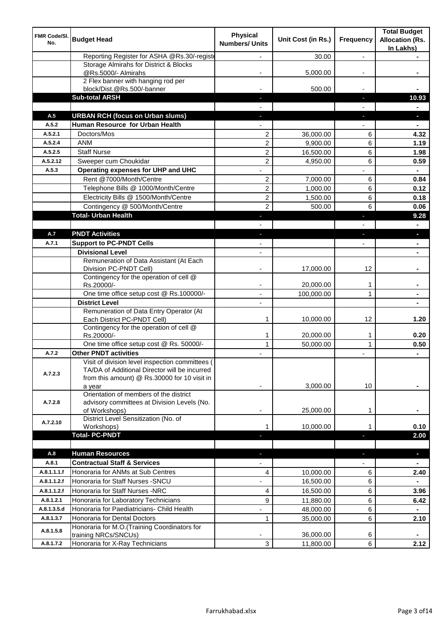| FMR Code/SI.<br>No.        | <b>Budget Head</b>                                                                                                                               | <b>Physical</b><br><b>Numbers/ Units</b> | Unit Cost (in Rs.)     | Frequency                | <b>Total Budget</b><br><b>Allocation (Rs.</b><br>In Lakhs) |
|----------------------------|--------------------------------------------------------------------------------------------------------------------------------------------------|------------------------------------------|------------------------|--------------------------|------------------------------------------------------------|
|                            | Reporting Register for ASHA @Rs.30/-registe                                                                                                      |                                          | 30.00                  | $\overline{a}$           |                                                            |
|                            | Storage Almirahs for District & Blocks<br>@Rs.5000/- Almirahs                                                                                    |                                          | 5,000.00               |                          |                                                            |
|                            | 2 Flex banner with hanging rod per                                                                                                               |                                          |                        |                          |                                                            |
|                            | block/Dist.@Rs.500/-banner                                                                                                                       |                                          | 500.00                 |                          |                                                            |
|                            | <b>Sub-total ARSH</b>                                                                                                                            |                                          |                        | E.                       | 10.93                                                      |
|                            |                                                                                                                                                  |                                          |                        |                          |                                                            |
| A.5                        | <b>URBAN RCH (focus on Urban slums)</b><br>Human Resource for Urban Health                                                                       |                                          |                        | r.                       | н                                                          |
| A.5.2<br>A.5.2.1           | Doctors/Mos                                                                                                                                      |                                          |                        |                          |                                                            |
| A.5.2.4                    | <b>ANM</b>                                                                                                                                       | 2<br>$\overline{c}$                      | 36,000.00<br>9,900.00  | 6<br>6                   | 4.32<br>1.19                                               |
| A.5.2.5                    | <b>Staff Nurse</b>                                                                                                                               | $\overline{2}$                           | 16,500.00              | 6                        | 1.98                                                       |
| A.5.2.12                   | Sweeper cum Choukidar                                                                                                                            | 2                                        | 4,950.00               | 6                        | 0.59                                                       |
| A.5.3                      | Operating expenses for UHP and UHC                                                                                                               |                                          |                        |                          |                                                            |
|                            | Rent @7000/Month/Centre                                                                                                                          | 2                                        | 7,000.00               | 6                        | 0.84                                                       |
|                            | Telephone Bills @ 1000/Month/Centre                                                                                                              | $\overline{c}$                           | 1,000.00               | 6                        | 0.12                                                       |
|                            | Electricity Bills @ 1500/Month/Centre                                                                                                            | 2                                        | 1,500.00               | 6                        | 0.18                                                       |
|                            | Contingency @ 500/Month/Centre                                                                                                                   | $\overline{2}$                           | 500.00                 | 6                        | 0.06                                                       |
|                            | <b>Total- Urban Health</b>                                                                                                                       | J                                        |                        | J,                       | 9.28                                                       |
|                            |                                                                                                                                                  |                                          |                        |                          |                                                            |
| A.7                        | <b>PNDT Activities</b>                                                                                                                           | ٠                                        |                        | J,                       | $\blacksquare$                                             |
| A.7.1                      | <b>Support to PC-PNDT Cells</b>                                                                                                                  |                                          |                        | ٠                        | $\blacksquare$                                             |
|                            | <b>Divisional Level</b>                                                                                                                          | ٠                                        |                        |                          | $\blacksquare$                                             |
|                            | Remuneration of Data Assistant (At Each                                                                                                          |                                          |                        |                          |                                                            |
|                            | Division PC-PNDT Cell)                                                                                                                           |                                          | 17,000.00              | 12                       |                                                            |
|                            | Contingency for the operation of cell @<br>Rs.20000/-                                                                                            |                                          | 20,000.00              | 1                        |                                                            |
|                            | One time office setup cost @ Rs.100000/-                                                                                                         |                                          | 100,000.00             | 1                        |                                                            |
|                            | <b>District Level</b>                                                                                                                            |                                          |                        |                          |                                                            |
|                            | Remuneration of Data Entry Operator (At<br>Each District PC-PNDT Cell)                                                                           | 1                                        | 10,000.00              | 12                       | 1.20                                                       |
|                            | Contingency for the operation of cell @                                                                                                          |                                          |                        |                          |                                                            |
|                            | Rs.20000/-<br>One time office setup cost @ Rs. 50000/-                                                                                           | $\mathbf{1}$<br>$\mathbf{1}$             | 20,000.00<br>50,000.00 | 1<br>$\mathbf{1}$        | 0.20<br>0.50                                               |
| A.7.2                      | <b>Other PNDT activities</b>                                                                                                                     |                                          |                        | ٠                        | $\blacksquare$                                             |
| A.7.2.3                    | Visit of division level inspection committees (<br>TA/DA of Additional Director will be incurred<br>from this amount) @ Rs.30000 for 10 visit in |                                          |                        |                          |                                                            |
| A.7.2.8                    | a year<br>Orientation of members of the district<br>advisory committees at Division Levels (No.                                                  |                                          | 3,000.00               | 10                       |                                                            |
|                            | of Workshops)                                                                                                                                    |                                          | 25,000.00              | 1                        |                                                            |
| A.7.2.10                   | District Level Sensitization (No. of                                                                                                             |                                          |                        |                          |                                                            |
|                            | Workshops)                                                                                                                                       | 1                                        | 10,000.00              | 1                        | 0.10                                                       |
|                            | <b>Total-PC-PNDT</b>                                                                                                                             |                                          |                        | ٠                        | 2.00                                                       |
|                            |                                                                                                                                                  |                                          |                        |                          |                                                            |
| A.8<br>A.8.1               | <b>Human Resources</b><br><b>Contractual Staff &amp; Services</b>                                                                                | ٠                                        |                        | ٠                        | $\blacksquare$                                             |
|                            | Honoraria for ANMs at Sub Centres                                                                                                                | $\overline{\phantom{0}}$                 |                        | $\overline{\phantom{0}}$ | $\blacksquare$                                             |
| A.8.1.1.1.f<br>A.8.1.1.2.f | Honoraria for Staff Nurses - SNCU                                                                                                                | 4<br>÷,                                  | 10,000.00<br>16,500.00 | 6<br>6                   | 2.40                                                       |
| A.8.1.1.2.f                |                                                                                                                                                  |                                          |                        |                          |                                                            |
|                            | Honoraria for Staff Nurses -NRC                                                                                                                  | 4                                        | 16,500.00              | 6                        | 3.96                                                       |
| A.8.1.2.1<br>A.8.1.3.5.d   | Honoraria for Laboratory Technicians                                                                                                             | 9                                        | 11,880.00              | 6                        | 6.42                                                       |
|                            | Honoraria for Paediatricians- Child Health                                                                                                       |                                          | 48,000.00              | 6                        | $\blacksquare$                                             |
| A.8.1.3.7<br>A.8.1.5.8     | Honoraria for Dental Doctors<br>Honoraria for M.O.(Training Coordinators for                                                                     | $\mathbf{1}$                             | 35,000.00              | 6                        | 2.10                                                       |
|                            | training NRCs/SNCUs)                                                                                                                             |                                          | 36,000.00              | 6                        |                                                            |
| A.8.1.7.2                  | Honoraria for X-Ray Technicians                                                                                                                  | 3                                        | 11,800.00              | 6                        | 2.12                                                       |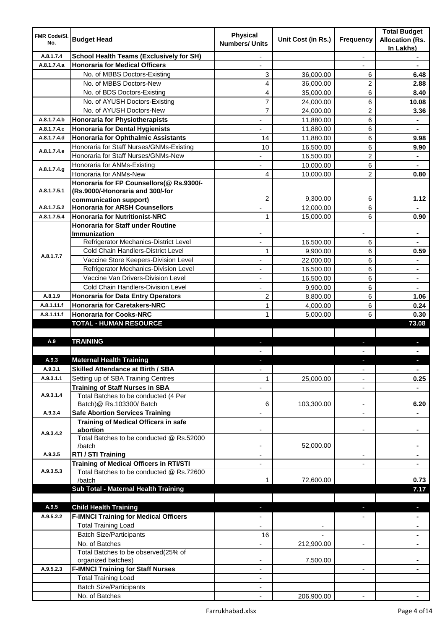| <b>FMR Code/SI.</b><br>No. | <b>Budget Head</b>                                                 | <b>Physical</b><br><b>Numbers/ Units</b> | Unit Cost (in Rs.)       | Frequency                | <b>Total Budget</b><br><b>Allocation (Rs.</b><br>In Lakhs) |
|----------------------------|--------------------------------------------------------------------|------------------------------------------|--------------------------|--------------------------|------------------------------------------------------------|
| A.8.1.7.4                  | <b>School Health Teams (Exclusively for SH)</b>                    |                                          |                          | $\overline{a}$           |                                                            |
| A.8.1.7.4.a                | <b>Honoraria for Medical Officers</b>                              |                                          |                          |                          |                                                            |
|                            | No. of MBBS Doctors-Existing                                       | 3                                        | 36,000.00                | 6                        | 6.48                                                       |
|                            | No. of MBBS Doctors-New                                            | 4                                        | 36,000.00                | 2                        | 2.88                                                       |
|                            | No. of BDS Doctors-Existing                                        | 4                                        | 35,000.00                | 6                        | 8.40                                                       |
|                            | No. of AYUSH Doctors-Existing                                      | $\overline{7}$                           | 24,000.00                | 6                        | 10.08                                                      |
|                            | No. of AYUSH Doctors-New                                           | 7                                        | 24,000.00                | 2                        | 3.36                                                       |
| A.8.1.7.4.b                | <b>Honoraria for Physiotherapists</b>                              |                                          | 11,880.00                | 6                        |                                                            |
| A.8.1.7.4.c                | <b>Honoraria for Dental Hygienists</b>                             |                                          | 11,880.00                | 6                        |                                                            |
| A.8.1.7.4.d                | <b>Honoraria for Ophthalmic Assistants</b>                         | 14                                       | 11,880.00                | 6                        | 9.98                                                       |
|                            | Honoraria for Staff Nurses/GNMs-Existing                           | 10                                       | 16,500.00                | 6                        | 9.90                                                       |
| A.8.1.7.4.e                | Honoraria for Staff Nurses/GNMs-New                                |                                          | 16,500.00                | $\overline{2}$           |                                                            |
|                            | Honoraria for ANMs-Existing                                        |                                          | 10,000.00                | 6                        |                                                            |
| A.8.1.7.4.g                | Honoraria for ANMs-New                                             | 4                                        | 10,000.00                | $\overline{2}$           | 0.80                                                       |
|                            | Honoraria for FP Counsellors(@ Rs.9300/-                           |                                          |                          |                          |                                                            |
| A.8.1.7.5.1                | (Rs.9000/-Honoraria and 300/-for                                   |                                          |                          |                          |                                                            |
|                            | communication support)                                             | 2                                        | 9,300.00                 | 6                        | 1.12                                                       |
| A.8.1.7.5.2                | <b>Honoraria for ARSH Counsellors</b>                              |                                          | 12,000.00                | 6                        |                                                            |
| A.8.1.7.5.4                | <b>Honoraria for Nutritionist-NRC</b>                              | $\mathbf{1}$                             | 15,000.00                | 6                        | 0.90                                                       |
|                            | <b>Honoraria for Staff under Routine</b>                           |                                          |                          |                          |                                                            |
|                            | <b>Immunization</b>                                                |                                          |                          |                          |                                                            |
|                            | Refrigerator Mechanics-District Level                              |                                          | 16,500.00                | 6                        |                                                            |
| A.8.1.7.7                  | Cold Chain Handlers-District Level                                 | 1                                        | 9,900.00                 | 6                        | 0.59                                                       |
|                            | Vaccine Store Keepers-Division Level                               |                                          | 22,000.00                | 6                        | $\blacksquare$                                             |
|                            | Refrigerator Mechanics-Division Level                              |                                          | 16,500.00                | 6                        | $\blacksquare$                                             |
|                            | Vaccine Van Drivers-Division Level                                 |                                          | 16,500.00                | 6                        | $\blacksquare$                                             |
|                            | Cold Chain Handlers-Division Level                                 |                                          | 9,900.00                 | 6                        | $\blacksquare$                                             |
| A.8.1.9                    | <b>Honoraria for Data Entry Operators</b>                          | $\overline{c}$                           | 8,800.00                 | 6                        | 1.06                                                       |
| A.8.1.11.f                 | <b>Honoraria for Caretakers-NRC</b>                                | $\mathbf{1}$                             | 4,000.00                 | 6                        | 0.24                                                       |
| A.8.1.11.f                 | <b>Honoraria for Cooks-NRC</b>                                     | 1                                        | 5,000.00                 | 6                        | 0.30                                                       |
|                            | <b>TOTAL - HUMAN RESOURCE</b>                                      |                                          |                          |                          | 73.08                                                      |
|                            | <b>TRAINING</b>                                                    |                                          |                          |                          |                                                            |
| A.9                        |                                                                    | ٠                                        |                          | ٠                        | D.                                                         |
|                            |                                                                    |                                          |                          |                          |                                                            |
| A.9.3                      | <b>Maternal Health Training</b>                                    |                                          |                          |                          |                                                            |
| A.9.3.1                    | <b>Skilled Attendance at Birth / SBA</b>                           | ÷,                                       |                          | $\overline{\phantom{a}}$ | $\blacksquare$                                             |
| A.9.3.1.1                  | Setting up of SBA Training Centres                                 | 1                                        | 25,000.00                | $\overline{\phantom{0}}$ | 0.25                                                       |
| A.9.3.1.4                  | <b>Training of Staff Nurses in SBA</b>                             | $\overline{\phantom{0}}$                 |                          | $\overline{\phantom{a}}$ |                                                            |
|                            | Total Batches to be conducted (4 Per                               | 6                                        | 103,300.00               | ٠                        | 6.20                                                       |
| A.9.3.4                    | Batch)@ Rs.103300/ Batch<br><b>Safe Abortion Services Training</b> |                                          |                          |                          |                                                            |
|                            | <b>Training of Medical Officers in safe</b>                        |                                          |                          |                          |                                                            |
|                            | abortion                                                           |                                          |                          | -                        |                                                            |
| A.9.3.4.2                  | Total Batches to be conducted @ Rs.52000                           |                                          |                          |                          |                                                            |
|                            | /batch                                                             | $\overline{\phantom{a}}$                 | 52,000.00                |                          | $\blacksquare$                                             |
| A.9.3.5                    | RTI / STI Training                                                 | $\blacksquare$                           |                          | ٠                        | $\blacksquare$                                             |
|                            | <b>Training of Medical Officers in RTI/STI</b>                     | $\overline{\phantom{a}}$                 |                          | L.                       | $\blacksquare$                                             |
| A.9.3.5.3                  | Total Batches to be conducted @ Rs.72600                           |                                          |                          |                          |                                                            |
|                            | /batch                                                             | 1                                        | 72,600.00                |                          | 0.73                                                       |
|                            | Sub Total - Maternal Health Training                               |                                          |                          |                          | 7.17                                                       |
|                            |                                                                    |                                          |                          |                          |                                                            |
| A.9.5                      | <b>Child Health Training</b>                                       |                                          |                          |                          | ٠                                                          |
| A.9.5.2.2                  | <b>F-IMNCI Training for Medical Officers</b>                       |                                          |                          |                          |                                                            |
|                            | <b>Total Training Load</b>                                         |                                          | $\overline{\phantom{a}}$ |                          | $\blacksquare$                                             |
|                            | <b>Batch Size/Participants</b>                                     | 16                                       |                          |                          | ٠                                                          |
|                            | No. of Batches                                                     | $\overline{\phantom{0}}$                 | 212,900.00               | ۰                        | ٠                                                          |
|                            | Total Batches to be observed(25% of                                |                                          |                          |                          |                                                            |
|                            | organized batches)                                                 |                                          | 7,500.00                 |                          |                                                            |
| A.9.5.2.3                  | <b>F-IMNCI Training for Staff Nurses</b>                           | ٠                                        |                          | $\blacksquare$           |                                                            |
|                            | <b>Total Training Load</b>                                         | ٠                                        |                          |                          |                                                            |
|                            | <b>Batch Size/Participants</b>                                     |                                          |                          |                          |                                                            |
|                            | No. of Batches                                                     |                                          | 206,900.00               |                          |                                                            |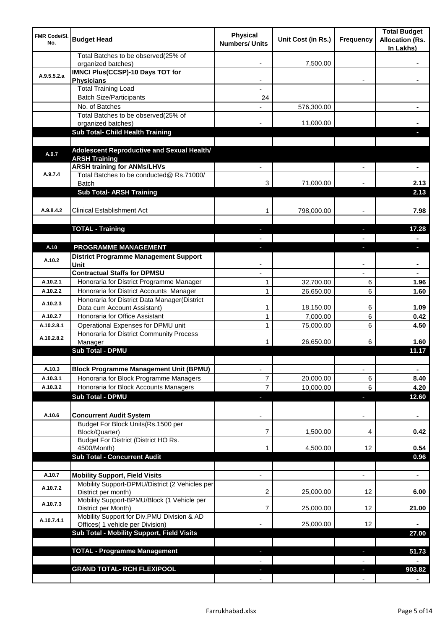| <b>FMR Code/SI.</b><br>No. | <b>Budget Head</b>                                                              | <b>Physical</b><br><b>Numbers/ Units</b> | Unit Cost (in Rs.)     | Frequency                | <b>Total Budget</b><br><b>Allocation (Rs.</b><br>In Lakhs) |
|----------------------------|---------------------------------------------------------------------------------|------------------------------------------|------------------------|--------------------------|------------------------------------------------------------|
|                            | Total Batches to be observed(25% of<br>organized batches)                       |                                          | 7,500.00               |                          |                                                            |
| A.9.5.5.2.a                | <b>IMNCI Plus(CCSP)-10 Days TOT for</b>                                         |                                          |                        |                          |                                                            |
|                            | <b>Physicians</b>                                                               |                                          |                        |                          |                                                            |
|                            | <b>Total Training Load</b><br><b>Batch Size/Participants</b>                    |                                          |                        |                          |                                                            |
|                            | No. of Batches                                                                  | 24                                       | 576,300.00             |                          |                                                            |
|                            | Total Batches to be observed(25% of                                             |                                          |                        |                          |                                                            |
|                            | organized batches)                                                              |                                          | 11,000.00              |                          |                                                            |
|                            | Sub Total- Child Health Training                                                |                                          |                        |                          |                                                            |
|                            |                                                                                 |                                          |                        |                          |                                                            |
| A.9.7                      | Adolescent Reproductive and Sexual Health/<br><b>ARSH Training</b>              |                                          |                        |                          |                                                            |
|                            | <b>ARSH training for ANMs/LHVs</b>                                              |                                          |                        |                          |                                                            |
| A.9.7.4                    | Total Batches to be conducted@ Rs.71000/                                        |                                          |                        |                          |                                                            |
|                            | <b>Batch</b>                                                                    | 3                                        | 71,000.00              |                          | 2.13                                                       |
|                            | <b>Sub Total- ARSH Training</b>                                                 |                                          |                        |                          | 2.13                                                       |
| A.9.8.4.2                  | <b>Clinical Establishment Act</b>                                               | 1                                        |                        | $\overline{a}$           | 7.98                                                       |
|                            |                                                                                 |                                          | 798,000.00             |                          |                                                            |
|                            | <b>TOTAL - Training</b>                                                         |                                          |                        |                          | 17.28                                                      |
|                            |                                                                                 |                                          |                        |                          |                                                            |
| A.10                       | PROGRAMME MANAGEMENT                                                            |                                          |                        |                          | o.                                                         |
| A.10.2                     | <b>District Programme Management Support</b>                                    |                                          |                        |                          |                                                            |
|                            | Unit                                                                            |                                          |                        |                          |                                                            |
|                            | <b>Contractual Staffs for DPMSU</b>                                             |                                          |                        |                          |                                                            |
| A.10.2.1                   | Honoraria for District Programme Manager                                        | 1                                        | 32,700.00              | 6                        | 1.96                                                       |
| A.10.2.2                   | Honoraria for District Accounts Manager                                         | $\mathbf{1}$                             | 26,650.00              | 6                        | 1.60                                                       |
| A.10.2.3                   | Honoraria for District Data Manager(District<br>Data cum Account Assistant)     | 1                                        | 18,150.00              | 6                        | 1.09                                                       |
| A.10.2.7                   | Honoraria for Office Assistant                                                  | 1                                        | 7,000.00               | 6                        | 0.42                                                       |
| A.10.2.8.1                 | Operational Expenses for DPMU unit                                              | 1                                        | 75,000.00              | 6                        | 4.50                                                       |
| A.10.2.8.2                 | Honoraria for District Community Process                                        |                                          |                        |                          |                                                            |
|                            | Manager                                                                         | 1                                        | 26,650.00              | 6                        | 1.60                                                       |
|                            | <b>Sub Total - DPMU</b>                                                         |                                          |                        |                          | 11.17                                                      |
|                            |                                                                                 |                                          |                        |                          |                                                            |
| A.10.3                     | <b>Block Programme Management Unit (BPMU)</b>                                   | $\overline{\phantom{a}}$                 |                        | $\overline{\phantom{a}}$ | $\blacksquare$                                             |
| A.10.3.1<br>A.10.3.2       | Honoraria for Block Programme Managers<br>Honoraria for Block Accounts Managers | 7<br>7                                   | 20,000.00<br>10,000.00 | 6<br>6                   | 8.40<br>4.20                                               |
|                            | <b>Sub Total - DPMU</b>                                                         | J,                                       |                        | J,                       | 12.60                                                      |
|                            |                                                                                 |                                          |                        |                          |                                                            |
| A.10.6                     | <b>Concurrent Audit System</b>                                                  |                                          |                        | $\overline{\phantom{0}}$ | $\blacksquare$                                             |
|                            | Budget For Block Units(Rs.1500 per                                              |                                          |                        |                          |                                                            |
|                            | Block/Quarter)                                                                  | 7                                        | 1,500.00               | 4                        | 0.42                                                       |
|                            | Budget For District (District HO Rs.                                            |                                          |                        |                          |                                                            |
|                            | 4500/Month)<br><b>Sub Total - Concurrent Audit</b>                              |                                          | 4,500.00               | 12                       | 0.54<br>0.96                                               |
|                            |                                                                                 |                                          |                        |                          |                                                            |
| A.10.7                     | <b>Mobility Support, Field Visits</b>                                           |                                          |                        | $\overline{a}$           | $\blacksquare$                                             |
|                            | Mobility Support-DPMU/District (2 Vehicles per                                  |                                          |                        |                          |                                                            |
| A.10.7.2                   | District per month)                                                             | 2                                        | 25,000.00              | 12                       | 6.00                                                       |
| A.10.7.3                   | Mobility Support-BPMU/Block (1 Vehicle per<br>District per Month)               | 7                                        | 25,000.00              | 12                       | 21.00                                                      |
|                            | Mobility Support for Div.PMU Division & AD                                      |                                          |                        |                          |                                                            |
| A.10.7.4.1                 | Offices( 1 vehicle per Division)                                                |                                          | 25,000.00              | 12                       |                                                            |
|                            | Sub Total - Mobility Support, Field Visits                                      |                                          |                        |                          | 27.00                                                      |
|                            |                                                                                 |                                          |                        |                          |                                                            |
|                            | <b>TOTAL - Programme Management</b>                                             |                                          |                        |                          | 51.73                                                      |
|                            |                                                                                 |                                          |                        |                          |                                                            |
|                            | <b>GRAND TOTAL- RCH FLEXIPOOL</b>                                               |                                          |                        |                          | 903.82                                                     |
|                            |                                                                                 |                                          |                        |                          |                                                            |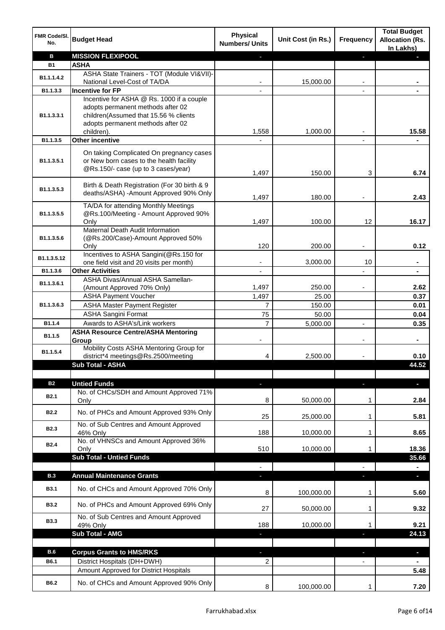| FMR Code/SI.<br>No. | <b>Budget Head</b>                              | <b>Physical</b><br><b>Numbers/ Units</b> | Unit Cost (in Rs.) | <b>Frequency</b> | <b>Total Budget</b><br><b>Allocation (Rs.</b><br>In Lakhs) |
|---------------------|-------------------------------------------------|------------------------------------------|--------------------|------------------|------------------------------------------------------------|
| B                   | <b>MISSION FLEXIPOOL</b>                        |                                          |                    | P.               |                                                            |
| <b>B1</b>           | <b>ASHA</b>                                     |                                          |                    |                  |                                                            |
| B1.1.1.4.2          | ASHA State Trainers - TOT (Module VI&VII)-      |                                          |                    |                  |                                                            |
|                     | National Level-Cost of TA/DA                    |                                          | 15,000.00          |                  |                                                            |
| B1.1.3.3            | <b>Incentive for FP</b>                         |                                          |                    |                  |                                                            |
|                     | Incentive for ASHA @ Rs. 1000 if a couple       |                                          |                    |                  |                                                            |
|                     | adopts permanent methods after 02               |                                          |                    |                  |                                                            |
| B1.1.3.3.1          | children(Assumed that 15.56 % clients           |                                          |                    |                  |                                                            |
|                     | adopts permanent methods after 02<br>children). |                                          |                    |                  |                                                            |
| B1.1.3.5            | Other incentive                                 | 1,558                                    | 1,000.00           |                  | 15.58                                                      |
|                     |                                                 |                                          |                    |                  |                                                            |
|                     | On taking Complicated On pregnancy cases        |                                          |                    |                  |                                                            |
| B1.1.3.5.1          | or New born cases to the health facility        |                                          |                    |                  |                                                            |
|                     | @Rs.150/- case (up to 3 cases/year)             | 1,497                                    | 150.00             | 3                | 6.74                                                       |
|                     |                                                 |                                          |                    |                  |                                                            |
| B1.1.3.5.3          | Birth & Death Registration (For 30 birth & 9    |                                          |                    |                  |                                                            |
|                     | deaths/ASHA) -Amount Approved 90% Only          | 1,497                                    | 180.00             |                  | 2.43                                                       |
|                     | TA/DA for attending Monthly Meetings            |                                          |                    |                  |                                                            |
| B1.1.3.5.5          | @Rs.100/Meeting - Amount Approved 90%           |                                          |                    |                  |                                                            |
|                     | Only                                            | 1,497                                    | 100.00             | 12               | 16.17                                                      |
|                     | Maternal Death Audit Information                |                                          |                    |                  |                                                            |
| B1.1.3.5.6          | (@Rs.200/Case)-Amount Approved 50%              | 120                                      | 200.00             |                  | 0.12                                                       |
|                     | Only<br>Incentives to ASHA Sangini(@Rs.150 for  |                                          |                    |                  |                                                            |
| B1.1.3.5.12         | one field visit and 20 visits per month)        | -                                        | 3,000.00           | 10               | $\blacksquare$                                             |
| B1.1.3.6            | <b>Other Activities</b>                         | $\overline{\phantom{a}}$                 |                    |                  | $\blacksquare$                                             |
|                     | ASHA Divas/Annual ASHA Samellan-                |                                          |                    |                  |                                                            |
| B1.1.3.6.1          | (Amount Approved 70% Only)                      | 1,497                                    | 250.00             |                  | 2.62                                                       |
|                     | <b>ASHA Payment Voucher</b>                     | 1,497                                    | 25.00              |                  | 0.37                                                       |
| B1.1.3.6.3          | <b>ASHA Master Payment Register</b>             | $\overline{7}$                           | 150.00             |                  | 0.01                                                       |
|                     | <b>ASHA Sangini Format</b>                      | 75                                       | 50.00              |                  | 0.04                                                       |
| B1.1.4              | Awards to ASHA's/Link workers                   | $\overline{7}$                           | 5,000.00           | $\overline{a}$   | 0.35                                                       |
|                     | <b>ASHA Resource Centre/ASHA Mentoring</b>      |                                          |                    |                  |                                                            |
| B1.1.5              | Group                                           |                                          |                    |                  | $\blacksquare$                                             |
| B1.1.5.4            | Mobility Costs ASHA Mentoring Group for         |                                          |                    |                  |                                                            |
|                     | district*4 meetings@Rs.2500/meeting             | 4                                        | 2,500.00           |                  | 0.10                                                       |
|                     | <b>Sub Total - ASHA</b>                         |                                          |                    |                  | 44.52                                                      |
|                     |                                                 |                                          |                    |                  |                                                            |
| <b>B2</b>           | <b>Untied Funds</b>                             | ٠                                        |                    | J,               | $\blacksquare$                                             |
| <b>B2.1</b>         | No. of CHCs/SDH and Amount Approved 71%         |                                          |                    |                  |                                                            |
|                     | Only                                            | 8                                        | 50,000.00          | 1                | 2.84                                                       |
| <b>B2.2</b>         | No. of PHCs and Amount Approved 93% Only        | 25                                       | 25,000.00          | 1                | 5.81                                                       |
|                     | No. of Sub Centres and Amount Approved          |                                          |                    |                  |                                                            |
| <b>B2.3</b>         | 46% Only                                        | 188                                      | 10,000.00          | 1                | 8.65                                                       |
|                     | No. of VHNSCs and Amount Approved 36%           |                                          |                    |                  |                                                            |
| <b>B2.4</b>         | Only                                            | 510                                      | 10,000.00          | 1                | 18.36                                                      |
|                     | <b>Sub Total - Untied Funds</b>                 |                                          |                    |                  | 35.66                                                      |
|                     |                                                 |                                          |                    |                  |                                                            |
| <b>B.3</b>          | <b>Annual Maintenance Grants</b>                |                                          |                    |                  |                                                            |
| <b>B3.1</b>         | No. of CHCs and Amount Approved 70% Only        |                                          |                    |                  |                                                            |
|                     |                                                 | 8                                        | 100,000.00         | 1                | 5.60                                                       |
| <b>B3.2</b>         | No. of PHCs and Amount Approved 69% Only        |                                          |                    |                  |                                                            |
|                     |                                                 | 27                                       | 50,000.00          | 1                | 9.32                                                       |
| <b>B3.3</b>         | No. of Sub Centres and Amount Approved          | 188                                      | 10,000.00          | 1                | 9.21                                                       |
|                     | 49% Only<br><b>Sub Total - AMG</b>              | ٠                                        |                    | a,               | 24.13                                                      |
|                     |                                                 |                                          |                    |                  |                                                            |
| <b>B.6</b>          | <b>Corpus Grants to HMS/RKS</b>                 |                                          |                    |                  |                                                            |
|                     |                                                 |                                          |                    |                  | $\blacksquare$                                             |
| B6.1                | District Hospitals (DH+DWH)                     | 2                                        |                    |                  |                                                            |
|                     | Amount Approved for District Hospitals          |                                          |                    |                  | 5.48                                                       |
| B6.2                | No. of CHCs and Amount Approved 90% Only        | 8                                        | 100,000.00         | 1                | 7.20                                                       |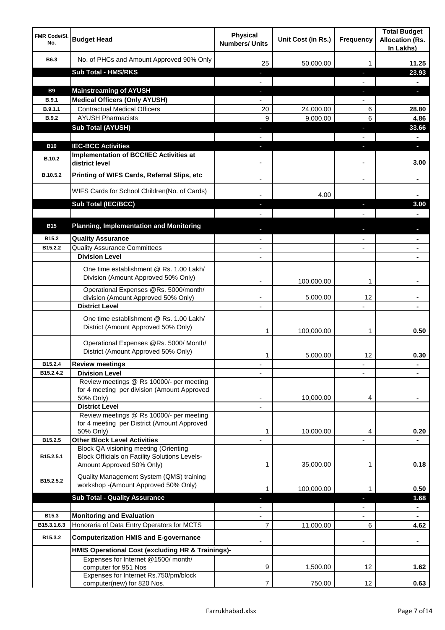| <b>FMR Code/SI.</b><br>No.  | <b>Budget Head</b>                                                                                   | <b>Physical</b><br><b>Numbers/ Units</b> | Unit Cost (in Rs.) | <b>Frequency</b>  | <b>Total Budget</b><br><b>Allocation (Rs.</b><br>In Lakhs) |
|-----------------------------|------------------------------------------------------------------------------------------------------|------------------------------------------|--------------------|-------------------|------------------------------------------------------------|
| B6.3                        | No. of PHCs and Amount Approved 90% Only                                                             | 25                                       | 50,000.00          | 1                 | 11.25                                                      |
|                             | <b>Sub Total - HMS/RKS</b>                                                                           | ٠                                        |                    | J,                | 23.93                                                      |
|                             |                                                                                                      |                                          |                    |                   |                                                            |
| <b>B9</b>                   | <b>Mainstreaming of AYUSH</b>                                                                        | J,                                       |                    | T                 | o.                                                         |
| B.9.1                       | <b>Medical Officers (Only AYUSH)</b>                                                                 |                                          |                    |                   |                                                            |
| B.9.1.1                     | <b>Contractual Medical Officers</b>                                                                  | 20                                       | 24,000.00          | 6                 | 28.80                                                      |
| <b>B.9.2</b>                | <b>AYUSH Pharmacists</b>                                                                             | 9                                        | 9,000.00           | 6                 | 4.86                                                       |
|                             | <b>Sub Total (AYUSH)</b>                                                                             | J,                                       |                    | J,                | 33.66                                                      |
|                             |                                                                                                      |                                          |                    |                   |                                                            |
| <b>B10</b><br><b>B.10.2</b> | <b>IEC-BCC Activities</b><br><b>Implementation of BCC/IEC Activities at</b>                          |                                          |                    | ı.                | н<br>3.00                                                  |
| B.10.5.2                    | district level<br>Printing of WIFS Cards, Referral Slips, etc                                        |                                          |                    | $\blacksquare$    |                                                            |
|                             | WIFS Cards for School Children(No. of Cards)                                                         |                                          | 4.00               |                   |                                                            |
|                             | Sub Total (IEC/BCC)                                                                                  |                                          |                    | ı                 | 3.00                                                       |
|                             |                                                                                                      |                                          |                    |                   |                                                            |
| <b>B15</b>                  | <b>Planning, Implementation and Monitoring</b>                                                       |                                          |                    |                   |                                                            |
|                             |                                                                                                      |                                          |                    |                   |                                                            |
| B15.2                       | <b>Quality Assurance</b>                                                                             |                                          |                    |                   |                                                            |
| B15.2.2                     | <b>Quality Assurance Committees</b><br><b>Division Level</b>                                         | $\overline{\phantom{a}}$                 |                    |                   |                                                            |
|                             |                                                                                                      | $\blacksquare$                           |                    |                   | $\blacksquare$                                             |
|                             | One time establishment @ Rs. 1.00 Lakh/<br>Division (Amount Approved 50% Only)                       |                                          | 100,000.00         | 1                 |                                                            |
|                             | Operational Expenses @Rs. 5000/month/<br>division (Amount Approved 50% Only)                         | $\overline{\phantom{a}}$                 | 5,000.00           | 12                |                                                            |
|                             | <b>District Level</b>                                                                                | $\overline{\phantom{a}}$                 |                    |                   |                                                            |
|                             | One time establishment @ Rs. 1.00 Lakh/<br>District (Amount Approved 50% Only)                       | 1                                        | 100,000.00         | 1                 | 0.50                                                       |
|                             | Operational Expenses @Rs. 5000/ Month/<br>District (Amount Approved 50% Only)                        | 1                                        | 5,000.00           | 12                | 0.30                                                       |
| B15.2.4                     | <b>Review meetings</b>                                                                               |                                          |                    | ٠                 |                                                            |
| B15.2.4.2                   | <b>Division Level</b>                                                                                |                                          |                    |                   |                                                            |
|                             | Review meetings @ Rs 10000/- per meeting<br>for 4 meeting per division (Amount Approved<br>50% Only) |                                          | 10,000.00          | 4                 |                                                            |
|                             | <b>District Level</b>                                                                                |                                          |                    |                   |                                                            |
|                             | Review meetings @ Rs 10000/- per meeting<br>for 4 meeting per District (Amount Approved              |                                          |                    |                   |                                                            |
|                             | 50% Only)                                                                                            | 1                                        | 10,000.00          | 4                 | 0.20                                                       |
| B15.2.5                     | <b>Other Block Level Activities</b>                                                                  |                                          |                    |                   |                                                            |
| B15.2.5.1                   | Block QA visioning meeting (Orienting<br><b>Block Officials on Facility Solutions Levels-</b>        |                                          |                    |                   |                                                            |
|                             | Amount Approved 50% Only)                                                                            | 1                                        | 35,000.00          | 1                 | 0.18                                                       |
|                             | Quality Management System (QMS) training                                                             |                                          |                    |                   |                                                            |
| B15.2.5.2                   | workshop -(Amount Approved 50% Only)                                                                 | 1                                        | 100,000.00         | 1                 | 0.50                                                       |
|                             | <b>Sub Total - Quality Assurance</b>                                                                 |                                          |                    |                   | 1.68                                                       |
|                             |                                                                                                      |                                          |                    |                   | $\blacksquare$                                             |
| B15.3                       | <b>Monitoring and Evaluation</b>                                                                     |                                          |                    |                   |                                                            |
| B15.3.1.6.3                 | Honoraria of Data Entry Operators for MCTS                                                           | 7                                        | 11,000.00          | 6                 | 4.62                                                       |
| B15.3.2                     | <b>Computerization HMIS and E-governance</b>                                                         |                                          |                    |                   |                                                            |
|                             | HMIS Operational Cost (excluding HR & Trainings)-                                                    |                                          |                    |                   |                                                            |
|                             | Expenses for Internet @1500/month/<br>computer for 951 Nos                                           | 9                                        | 1,500.00           | 12                | 1.62                                                       |
|                             | Expenses for Internet Rs.750/pm/block<br>computer(new) for 820 Nos.                                  | 7                                        | 750.00             | $12 \overline{ }$ | 0.63                                                       |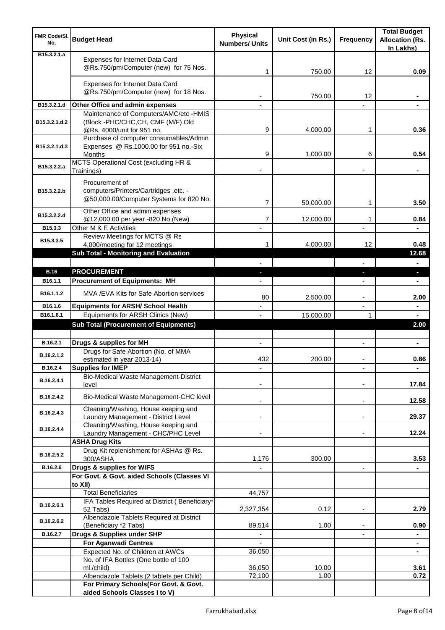| <b>FMR Code/SI.</b><br>No. | <b>Budget Head</b>                                                                                        | <b>Physical</b><br><b>Numbers/ Units</b> | Unit Cost (in Rs.) | Frequency                | <b>Total Budget</b><br><b>Allocation (Rs.</b><br>In Lakhs) |
|----------------------------|-----------------------------------------------------------------------------------------------------------|------------------------------------------|--------------------|--------------------------|------------------------------------------------------------|
| B15.3.2.1.a                | Expenses for Internet Data Card<br>@Rs.750/pm/Computer (new) for 75 Nos.                                  | 1                                        | 750.00             | 12                       | 0.09                                                       |
|                            | Expenses for Internet Data Card<br>@Rs.750/pm/Computer (new) for 18 Nos.                                  |                                          | 750.00             | 12                       |                                                            |
| B15.3.2.1.d                | Other Office and admin expenses                                                                           |                                          |                    |                          |                                                            |
| B15.3.2.1.d.2              | Maintenance of Computers/AMC/etc -HMIS<br>(Block -PHC/CHC,CH, CMF (M/F) Old<br>@Rs. 4000/unit for 951 no. | 9                                        | 4,000.00           | 1                        | 0.36                                                       |
| B15.3.2.1.d.3              | Purchase of computer consumables/Admin<br>Expenses @ Rs.1000.00 for 951 no.-Six<br><b>Months</b>          | 9                                        | 1,000.00           | 6                        | 0.54                                                       |
| B15.3.2.2.a                | MCTS Operational Cost (excluding HR &<br>Trainings)                                                       |                                          |                    |                          |                                                            |
| B15.3.2.2.b                | Procurement of<br>computers/Printers/Cartridges, etc. -<br>@50,000.00/Computer Systems for 820 No.        | 7                                        | 50,000.00          | 1                        | 3.50                                                       |
| B15.3.2.2.d                | Other Office and admin expenses<br>@12,000.00 per year -820 No.(New)                                      | 7                                        | 12,000.00          | 1                        | 0.84                                                       |
| B15.3.3                    | Other M & E Activities<br>Review Meetings for MCTS @ Rs                                                   |                                          |                    | $\overline{a}$           |                                                            |
| B15.3.3.5                  | 4,000/meeting for 12 meetings<br><b>Sub Total - Monitoring and Evaluation</b>                             | 1                                        | 4,000.00           | 12                       | 0.48<br>12.68                                              |
|                            |                                                                                                           |                                          |                    |                          | ÷                                                          |
| <b>B.16</b>                | <b>PROCUREMENT</b>                                                                                        |                                          |                    | E.                       | o.                                                         |
| B16.1.1                    | <b>Procurement of Equipments: MH</b>                                                                      |                                          |                    |                          |                                                            |
| B16.1.1.2                  | MVA / EVA Kits for Safe Abortion services                                                                 | 80                                       | 2,500.00           |                          | 2.00                                                       |
| B16.1.6                    | <b>Equipments for ARSH/ School Health</b>                                                                 |                                          |                    | $\overline{a}$           | ٠                                                          |
| B16.1.6.1                  | Equipments for ARSH Clinics (New)                                                                         |                                          | 15,000.00          | 1                        |                                                            |
|                            | <b>Sub Total (Procurement of Equipments)</b>                                                              |                                          |                    |                          | 2.00                                                       |
| B.16.2.1                   | Drugs & supplies for MH                                                                                   | $\blacksquare$                           |                    | $\blacksquare$           | ٠                                                          |
| B.16.2.1.2                 | Drugs for Safe Abortion (No. of MMA<br>estimated in year 2013-14)                                         | 432                                      | 200.00             |                          | 0.86                                                       |
| B.16.2.4                   | <b>Supplies for IMEP</b>                                                                                  |                                          |                    |                          | ۰                                                          |
| B.16.2.4.1                 | Bio-Medical Waste Management-District<br>level                                                            |                                          |                    |                          | 17.84                                                      |
| B.16.2.4.2                 | Bio-Medical Waste Management-CHC level                                                                    |                                          |                    | ۰                        | 12.58                                                      |
| B.16.2.4.3                 | Cleaning/Washing, House keeping and<br>Laundry Management - District Level                                |                                          |                    |                          | 29.37                                                      |
| B.16.2.4.4                 | Cleaning/Washing, House keeping and<br>Laundry Management - CHC/PHC Level                                 |                                          |                    | $\blacksquare$           | 12.24                                                      |
|                            | <b>ASHA Drug Kits</b><br>Drug Kit replenishment for ASHAs @ Rs.                                           |                                          |                    |                          |                                                            |
| B.16.2.5.2                 | 300/ASHA                                                                                                  | 1,176                                    | 300.00             |                          | 3.53                                                       |
| B.16.2.6                   | Drugs & supplies for WIFS                                                                                 |                                          |                    | $\overline{\phantom{a}}$ |                                                            |
|                            | For Govt. & Govt. aided Schools (Classes VI<br>to XII)                                                    |                                          |                    |                          |                                                            |
|                            | <b>Total Beneficiaries</b>                                                                                | 44,757                                   |                    |                          |                                                            |
| B.16.2.6.1                 | IFA Tables Required at District (Beneficiary*<br>52 Tabs)                                                 | 2,327,354                                | 0.12               | $\blacksquare$           | 2.79                                                       |
| B.16.2.6.2                 | Albendazole Tablets Required at District<br>(Beneficiary *2 Tabs)                                         | 89,514                                   | 1.00               |                          | 0.90                                                       |
| B.16.2.7                   | Drugs & Supplies under SHP                                                                                |                                          |                    |                          | ۰                                                          |
|                            | <b>For Aganwadi Centres</b><br>Expected No. of Children at AWCs                                           | 36,050                                   |                    |                          | $\blacksquare$                                             |
|                            | No. of IFA Bottles (One bottle of 100                                                                     |                                          |                    |                          |                                                            |
|                            | ml./child)                                                                                                | 36,050                                   | 10.00              |                          | 3.61                                                       |
|                            | Albendazole Tablets (2 tablets per Child)                                                                 | 72,100                                   | 1.00               |                          | 0.72                                                       |
|                            | For Primary Schools(For Govt. & Govt.<br>aided Schools Classes I to V)                                    |                                          |                    |                          |                                                            |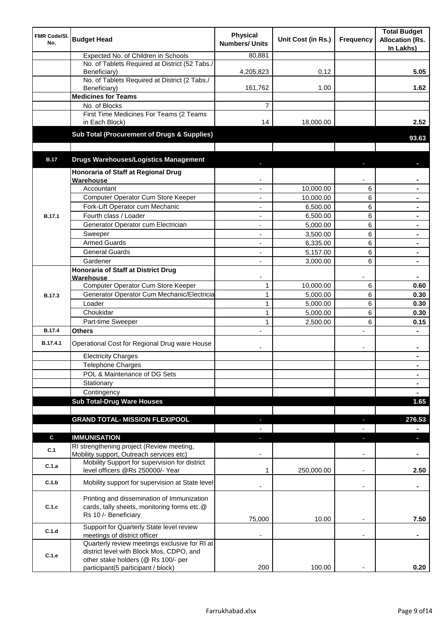| FMR Code/SI.<br>No. | <b>Budget Head</b>                                                                                                | <b>Physical</b><br><b>Numbers/ Units</b> | Unit Cost (in Rs.) | Frequency                | <b>Total Budget</b><br><b>Allocation (Rs.</b><br>In Lakhs) |
|---------------------|-------------------------------------------------------------------------------------------------------------------|------------------------------------------|--------------------|--------------------------|------------------------------------------------------------|
|                     | Expected No. of Children in Schools                                                                               | 80,881                                   |                    |                          |                                                            |
|                     | No. of Tablets Required at District (52 Tabs./<br>Beneficiary)                                                    | 4,205,823                                | 0.12               |                          | 5.05                                                       |
|                     | No. of Tablets Required at District (2 Tabs./<br>Beneficiary)                                                     | 161,762                                  | 1.00               |                          | 1.62                                                       |
|                     | <b>Medicines for Teams</b>                                                                                        |                                          |                    |                          |                                                            |
|                     | No. of Blocks                                                                                                     | 7                                        |                    |                          |                                                            |
|                     | First Time Medicines For Teams (2 Teams<br>in Each Block)                                                         | 14                                       | 18,000.00          |                          | 2.52                                                       |
|                     | Sub Total (Procurement of Drugs & Supplies)                                                                       |                                          |                    |                          | 93.63                                                      |
|                     |                                                                                                                   |                                          |                    |                          |                                                            |
| <b>B.17</b>         | <b>Drugs Warehouses/Logistics Management</b>                                                                      |                                          |                    |                          |                                                            |
|                     | Honoraria of Staff at Regional Drug<br>Warehouse                                                                  |                                          |                    |                          |                                                            |
|                     | Accountant                                                                                                        |                                          | 10,000.00          | 6                        |                                                            |
|                     | Computer Operator Cum Store Keeper                                                                                |                                          | 10,000.00          | 6                        |                                                            |
|                     | Fork-Lift Operator cum Mechanic                                                                                   |                                          | 6,500.00           | 6                        |                                                            |
|                     | Fourth class / Loader                                                                                             |                                          |                    | 6                        |                                                            |
| <b>B.17.1</b>       |                                                                                                                   |                                          | 6,500.00           |                          |                                                            |
|                     | Generator Operator cum Electrician                                                                                | ٠                                        | 5,000.00           | 6                        |                                                            |
|                     | Sweeper                                                                                                           | ٠                                        | 3,500.00           | 6                        | $\blacksquare$                                             |
|                     | <b>Armed Guards</b>                                                                                               | $\blacksquare$                           | 6,335.00           | 6                        | $\blacksquare$                                             |
|                     | <b>General Guards</b>                                                                                             | ÷,                                       | 5,157.00           | 6                        |                                                            |
|                     | Gardener                                                                                                          | ÷,                                       | 3,000.00           | 6                        | $\blacksquare$                                             |
|                     | Honoraria of Staff at District Drug<br>Warehouse                                                                  |                                          |                    |                          |                                                            |
|                     | Computer Operator Cum Store Keeper                                                                                | $\mathbf{1}$                             | 10,000.00          | 6                        | 0.60                                                       |
| <b>B.17.3</b>       | Generator Operator Cum Mechanic/Electricia                                                                        | $\mathbf{1}$                             | 5,000.00           | 6                        | 0.30                                                       |
|                     | Loader                                                                                                            | $\mathbf{1}$                             | 5,000.00           | 6                        | 0.30                                                       |
|                     | Choukidar                                                                                                         | $\mathbf{1}$                             | 5,000.00           | 6                        | 0.30                                                       |
|                     | Part-time Sweeper                                                                                                 | 1                                        | 2,500.00           | 6                        | 0.15                                                       |
| <b>B.17.4</b>       | <b>Others</b>                                                                                                     |                                          |                    | L.                       |                                                            |
| B.17.4.1            | Operational Cost for Regional Drug ware House                                                                     |                                          |                    | ۰                        | ٠                                                          |
|                     | <b>Electricity Charges</b>                                                                                        |                                          |                    |                          | $\blacksquare$                                             |
|                     | Telephone Charges                                                                                                 |                                          |                    |                          | $\blacksquare$                                             |
|                     | POL & Maintenance of DG Sets                                                                                      |                                          |                    |                          | $\blacksquare$                                             |
|                     | Stationary                                                                                                        |                                          |                    |                          | $\blacksquare$                                             |
|                     | Contingency                                                                                                       |                                          |                    |                          | $\blacksquare$                                             |
|                     | <b>Sub Total-Drug Ware Houses</b>                                                                                 |                                          |                    |                          | 1.65                                                       |
|                     |                                                                                                                   |                                          |                    |                          |                                                            |
|                     | <b>GRAND TOTAL- MISSION FLEXIPOOL</b>                                                                             | E.                                       |                    |                          | 276.53                                                     |
| $\mathbf c$         | <b>IMMUNISATION</b>                                                                                               |                                          |                    |                          | $\blacksquare$<br>н                                        |
| C.1                 | RI strengthening project (Review meeting,<br>Mobility support, Outreach services etc)                             |                                          |                    |                          |                                                            |
| C.1.a               | Mobility Support for supervision for district<br>level officers @Rs 250000/- Year                                 | 1                                        | 250,000.00         | ٠                        | 2.50                                                       |
| C.1.b               | Mobility support for supervision at State level                                                                   |                                          |                    |                          |                                                            |
|                     |                                                                                                                   |                                          |                    | $\overline{\phantom{a}}$ | ٠                                                          |
| C.1.c               | Printing and dissemination of Immunization<br>cards, tally sheets, monitoring forms etc.@<br>Rs 10 /- Beneficiary |                                          |                    |                          |                                                            |
|                     |                                                                                                                   | 75,000                                   | 10.00              |                          | 7.50                                                       |
| C.1.d               | Support for Quarterly State level review<br>meetings of district officer                                          |                                          |                    |                          |                                                            |
| C.1.e               | Quarterly review meetings exclusive for RI at<br>district level with Block Mos, CDPO, and                         |                                          |                    |                          |                                                            |
|                     | other stake holders (@ Rs 100/- per                                                                               |                                          |                    |                          |                                                            |
|                     | participant(5 participant / block)                                                                                | 200                                      | 100.00             |                          | 0.20                                                       |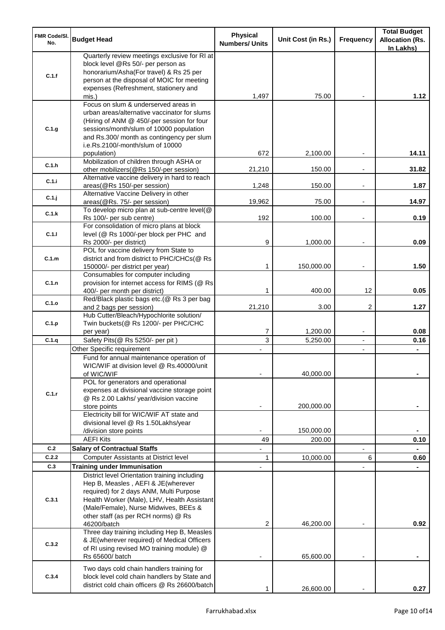| <b>FMR Code/SI.</b><br>No. | <b>Budget Head</b>                                                                                                                                                                                                                                             | <b>Physical</b><br><b>Numbers/ Units</b> | Unit Cost (in Rs.)   | Frequency                | <b>Total Budget</b><br><b>Allocation (Rs.</b><br>In Lakhs) |
|----------------------------|----------------------------------------------------------------------------------------------------------------------------------------------------------------------------------------------------------------------------------------------------------------|------------------------------------------|----------------------|--------------------------|------------------------------------------------------------|
| C.1.f                      | Quarterly review meetings exclusive for RI at<br>block level @Rs 50/- per person as<br>honorarium/Asha(For travel) & Rs 25 per<br>person at the disposal of MOIC for meeting<br>expenses (Refreshment, stationery and                                          |                                          |                      |                          |                                                            |
|                            | mis.)                                                                                                                                                                                                                                                          | 1,497                                    | 75.00                |                          | 1.12                                                       |
| C.1.g                      | Focus on slum & underserved areas in<br>urban areas/alternative vaccinator for slums<br>(Hiring of ANM @ 450/-per session for four<br>sessions/month/slum of 10000 population<br>and Rs.300/ month as contingency per slum<br>i.e.Rs.2100/-month/slum of 10000 |                                          |                      |                          |                                                            |
| C.1.h                      | population)<br>Mobilization of children through ASHA or<br>other mobilizers(@Rs 150/-per session)                                                                                                                                                              | 672<br>21,210                            | 2,100.00<br>150.00   |                          | 14.11<br>31.82                                             |
| C.1.i                      | Alternative vaccine delivery in hard to reach<br>areas(@Rs 150/-per session)                                                                                                                                                                                   | 1,248                                    | 150.00               | $\overline{\phantom{a}}$ | 1.87                                                       |
| C.1.j                      | Alternative Vaccine Delivery in other<br>areas(@Rs. 75/- per session)                                                                                                                                                                                          | 19,962                                   | 75.00                | $\overline{\phantom{a}}$ | 14.97                                                      |
| C.1.k                      | To develop micro plan at sub-centre level(@                                                                                                                                                                                                                    |                                          |                      |                          |                                                            |
|                            | Rs 100/- per sub centre)<br>For consolidation of micro plans at block                                                                                                                                                                                          | 192                                      | 100.00               |                          | 0.19                                                       |
| C.1.1                      | level (@ Rs 1000/-per block per PHC and<br>Rs 2000/- per district)                                                                                                                                                                                             | 9                                        | 1,000.00             |                          | 0.09                                                       |
| C.1.m                      | POL for vaccine delivery from State to<br>district and from district to PHC/CHCs(@ Rs                                                                                                                                                                          |                                          |                      |                          |                                                            |
|                            | 150000/- per district per year)<br>Consumables for computer including                                                                                                                                                                                          | 1                                        | 150,000.00           | $\overline{\phantom{a}}$ | 1.50                                                       |
| C.1.n                      | provision for internet access for RIMS (@ Rs<br>400/- per month per district)                                                                                                                                                                                  | 1                                        | 400.00               | 12                       | 0.05                                                       |
| C.1.o                      | Red/Black plastic bags etc.(@ Rs 3 per bag<br>and 2 bags per session)                                                                                                                                                                                          | 21,210                                   | 3.00                 | 2                        | 1.27                                                       |
| C.1.p                      | Hub Cutter/Bleach/Hypochlorite solution/<br>Twin buckets(@ Rs 1200/- per PHC/CHC                                                                                                                                                                               | 7                                        |                      |                          | 0.08                                                       |
| C.1.q                      | per year)<br>Safety Pits(@ Rs 5250/- per pit)                                                                                                                                                                                                                  | 3                                        | 1,200.00<br>5,250.00 | $\blacksquare$           | 0.16                                                       |
|                            | Other Specific requirement                                                                                                                                                                                                                                     |                                          |                      | $\blacksquare$           |                                                            |
|                            | Fund for annual maintenance operation of<br>WIC/WIF at division level @ Rs.40000/unit<br>of WIC/WIF<br>POL for generators and operational                                                                                                                      |                                          | 40,000.00            |                          |                                                            |
| C.1.r                      | expenses at divisional vaccine storage point<br>@ Rs 2.00 Lakhs/ year/division vaccine<br>store points                                                                                                                                                         |                                          | 200,000.00           |                          |                                                            |
|                            | Electricity bill for WIC/WIF AT state and<br>divisional level @ Rs 1.50Lakhs/year                                                                                                                                                                              |                                          |                      |                          |                                                            |
|                            | /division store points                                                                                                                                                                                                                                         |                                          | 150,000.00           |                          |                                                            |
|                            | <b>AEFI Kits</b>                                                                                                                                                                                                                                               | 49                                       | 200.00               |                          | 0.10                                                       |
| C.2                        | <b>Salary of Contractual Staffs</b>                                                                                                                                                                                                                            |                                          |                      |                          |                                                            |
| C.2.2<br>C.3               | Computer Assistants at District level<br><b>Training under Immunisation</b>                                                                                                                                                                                    | 1                                        | 10,000.00            | 6                        | 0.60                                                       |
|                            | District level Orientation training including                                                                                                                                                                                                                  |                                          |                      |                          |                                                            |
| C.3.1                      | Hep B, Measles, AEFI & JE(wherever<br>required) for 2 days ANM, Multi Purpose<br>Health Worker (Male), LHV, Health Assistant<br>(Male/Female), Nurse Midwives, BEEs &<br>other staff (as per RCH norms) @ Rs<br>46200/batch                                    | 2                                        | 46,200.00            |                          | 0.92                                                       |
| C.3.2                      | Three day training including Hep B, Measles<br>& JE(wherever required) of Medical Officers<br>of RI using revised MO training module) @<br>Rs 65600/ batch                                                                                                     |                                          | 65,600.00            |                          |                                                            |
| C.3.4                      | Two days cold chain handlers training for<br>block level cold chain handlers by State and<br>district cold chain officers @ Rs 26600/batch                                                                                                                     |                                          | 26,600.00            |                          | 0.27                                                       |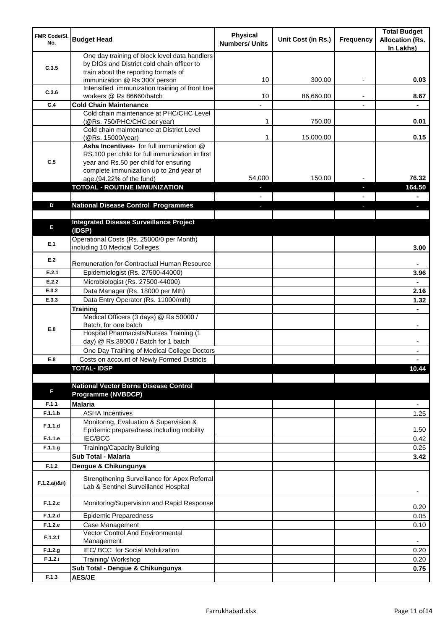| <b>FMR Code/SI.</b><br>No. | <b>Budget Head</b>                                                                                                                                                              | <b>Physical</b><br><b>Numbers/ Units</b> | Unit Cost (in Rs.) | Frequency | <b>Total Budget</b><br><b>Allocation (Rs.</b><br>In Lakhs) |
|----------------------------|---------------------------------------------------------------------------------------------------------------------------------------------------------------------------------|------------------------------------------|--------------------|-----------|------------------------------------------------------------|
| C.3.5                      | One day training of block level data handlers<br>by DIOs and District cold chain officer to<br>train about the reporting formats of                                             |                                          |                    |           |                                                            |
|                            | immunization @ Rs 300/ person                                                                                                                                                   | 10                                       | 300.00             | ٠         | 0.03                                                       |
| C.3.6                      | Intensified immunization training of front line<br>workers @ Rs 86660/batch                                                                                                     | 10                                       | 86,660.00          |           | 8.67                                                       |
| C.4                        | <b>Cold Chain Maintenance</b>                                                                                                                                                   |                                          |                    |           |                                                            |
|                            | Cold chain maintenance at PHC/CHC Level<br>(@Rs. 750/PHC/CHC per year)                                                                                                          | 1                                        | 750.00             |           | 0.01                                                       |
|                            | Cold chain maintenance at District Level<br>(@Rs. 15000/year)                                                                                                                   | 1                                        | 15,000.00          |           | 0.15                                                       |
| C.5                        | Asha Incentives- for full immunization @<br>RS.100 per child for full immunization in first<br>year and Rs.50 per child for ensuring<br>complete immunization up to 2nd year of |                                          | 150.00             |           | 76.32                                                      |
|                            | age.(94.22% of the fund)                                                                                                                                                        | 54,000                                   |                    |           |                                                            |
|                            | <b>TOTOAL - ROUTINE IMMUNIZATION</b>                                                                                                                                            |                                          |                    |           | 164.50                                                     |
| D                          | <b>National Disease Control Programmes</b>                                                                                                                                      |                                          |                    |           |                                                            |
|                            |                                                                                                                                                                                 |                                          |                    |           |                                                            |
| E                          | <b>Integrated Disease Surveillance Project</b><br>(IDSP)                                                                                                                        |                                          |                    |           |                                                            |
| E.1                        | Operational Costs (Rs. 25000/0 per Month)<br>including 10 Medical Colleges                                                                                                      |                                          |                    |           | 3.00                                                       |
| E.2                        | Remuneration for Contractual Human Resource                                                                                                                                     |                                          |                    |           |                                                            |
| E.2.1                      | Epidemiologist (Rs. 27500-44000)                                                                                                                                                |                                          |                    |           | 3.96                                                       |
| E.2.2                      | Microbiologist (Rs. 27500-44000)                                                                                                                                                |                                          |                    |           |                                                            |
| E.3.2                      | Data Manager (Rs. 18000 per Mth)                                                                                                                                                |                                          |                    |           | 2.16                                                       |
| E.3.3                      | Data Entry Operator (Rs. 11000/mth)                                                                                                                                             |                                          |                    |           | 1.32                                                       |
|                            | <b>Training</b>                                                                                                                                                                 |                                          |                    |           |                                                            |
|                            | Medical Officers (3 days) @ Rs 50000 /                                                                                                                                          |                                          |                    |           |                                                            |
| E.8                        | Batch, for one batch<br>Hospital Pharmacists/Nurses Training (1                                                                                                                 |                                          |                    |           | $\blacksquare$                                             |
|                            | day) @ Rs.38000 / Batch for 1 batch                                                                                                                                             |                                          |                    |           |                                                            |
|                            | One Day Training of Medical College Doctors                                                                                                                                     |                                          |                    |           |                                                            |
| E.8                        | Costs on account of Newly Formed Districts                                                                                                                                      |                                          |                    |           |                                                            |
|                            | <b>TOTAL-IDSP</b>                                                                                                                                                               |                                          |                    |           | 10.44                                                      |
|                            |                                                                                                                                                                                 |                                          |                    |           |                                                            |
| F                          | <b>National Vector Borne Disease Control</b><br><b>Programme (NVBDCP)</b>                                                                                                       |                                          |                    |           |                                                            |
| F.1.1                      | <b>Malaria</b>                                                                                                                                                                  |                                          |                    |           |                                                            |
| F.1.1.b                    | <b>ASHA Incentives</b>                                                                                                                                                          |                                          |                    |           | 1.25                                                       |
| F.1.1.d                    | Monitoring, Evaluation & Supervision &<br>Epidemic preparedness including mobility                                                                                              |                                          |                    |           | 1.50                                                       |
| F.1.1.e                    | <b>IEC/BCC</b>                                                                                                                                                                  |                                          |                    |           | 0.42                                                       |
| F.1.1.g                    | Training/Capacity Building                                                                                                                                                      |                                          |                    |           | 0.25                                                       |
|                            | Sub Total - Malaria                                                                                                                                                             |                                          |                    |           | 3.42                                                       |
| F.1.2                      | Dengue & Chikungunya                                                                                                                                                            |                                          |                    |           |                                                            |
| F.1.2.a(iⅈ)                | Strengthening Surveillance for Apex Referral<br>Lab & Sentinel Surveillance Hospital                                                                                            |                                          |                    |           | ٠                                                          |
| F.1.2.c                    | Monitoring/Supervision and Rapid Response                                                                                                                                       |                                          |                    |           | 0.20                                                       |
| F.1.2.d                    | <b>Epidemic Preparedness</b>                                                                                                                                                    |                                          |                    |           | 0.05                                                       |
| F.1.2.e                    | Case Management<br><b>Vector Control And Environmental</b>                                                                                                                      |                                          |                    |           | 0.10                                                       |
| F.1.2.f                    | Management                                                                                                                                                                      |                                          |                    |           |                                                            |
| F.1.2.g                    | IEC/ BCC for Social Mobilization                                                                                                                                                |                                          |                    |           | 0.20                                                       |
| F.1.2.i                    | Training/Workshop                                                                                                                                                               |                                          |                    |           | 0.20                                                       |
|                            | Sub Total - Dengue & Chikungunya                                                                                                                                                |                                          |                    |           | 0.75                                                       |
| F.1.3                      | <b>AES/JE</b>                                                                                                                                                                   |                                          |                    |           |                                                            |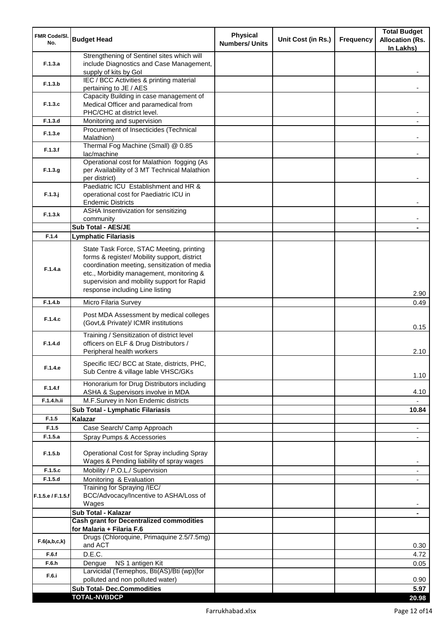| <b>FMR Code/SI.</b><br>No. | <b>Budget Head</b>                                                                                                                                                                                                                                                    | <b>Physical</b><br><b>Numbers/ Units</b> | Unit Cost (in Rs.) | <b>Frequency</b> | <b>Total Budget</b><br><b>Allocation (Rs.</b><br>In Lakhs) |
|----------------------------|-----------------------------------------------------------------------------------------------------------------------------------------------------------------------------------------------------------------------------------------------------------------------|------------------------------------------|--------------------|------------------|------------------------------------------------------------|
| F.1.3.a                    | Strengthening of Sentinel sites which will<br>include Diagnostics and Case Management,<br>supply of kits by Gol                                                                                                                                                       |                                          |                    |                  |                                                            |
| F.1.3.b                    | IEC / BCC Activities & printing material<br>pertaining to JE / AES                                                                                                                                                                                                    |                                          |                    |                  |                                                            |
| F.1.3.c                    | Capacity Building in case management of<br>Medical Officer and paramedical from                                                                                                                                                                                       |                                          |                    |                  |                                                            |
|                            | PHC/CHC at district level.                                                                                                                                                                                                                                            |                                          |                    |                  |                                                            |
| F.1.3.d                    | Monitoring and supervision<br>Procurement of Insecticides (Technical                                                                                                                                                                                                  |                                          |                    |                  |                                                            |
| F.1.3.e                    | Malathion)<br>Thermal Fog Machine (Small) @ 0.85                                                                                                                                                                                                                      |                                          |                    |                  |                                                            |
| F.1.3.f                    | lac/machine                                                                                                                                                                                                                                                           |                                          |                    |                  |                                                            |
| F.1.3.g                    | Operational cost for Malathion fogging (As<br>per Availability of 3 MT Technical Malathion<br>per district)                                                                                                                                                           |                                          |                    |                  |                                                            |
| $F.1.3.$ j                 | Paediatric ICU Establishment and HR &<br>operational cost for Paediatric ICU in<br><b>Endemic Districts</b>                                                                                                                                                           |                                          |                    |                  |                                                            |
| F.1.3.k                    | ASHA Insentivization for sensitizing<br>community                                                                                                                                                                                                                     |                                          |                    |                  |                                                            |
|                            | Sub Total - AES/JE                                                                                                                                                                                                                                                    |                                          |                    |                  |                                                            |
| F.1.4                      | <b>Lymphatic Filariasis</b>                                                                                                                                                                                                                                           |                                          |                    |                  |                                                            |
| F.1.4.a                    | State Task Force, STAC Meeting, printing<br>forms & register/ Mobility support, district<br>coordination meeting, sensitization of media<br>etc., Morbidity management, monitoring &<br>supervision and mobility support for Rapid<br>response including Line listing |                                          |                    |                  | 2.90                                                       |
| F.1.4.b                    | Micro Filaria Survey                                                                                                                                                                                                                                                  |                                          |                    |                  | 0.49                                                       |
| F.1.4.c                    | Post MDA Assessment by medical colleges<br>(Govt,& Private)/ ICMR institutions                                                                                                                                                                                        |                                          |                    |                  | 0.15                                                       |
| F.1.4.d                    | Training / Sensitization of district level<br>officers on ELF & Drug Distributors /<br>Peripheral health workers                                                                                                                                                      |                                          |                    |                  | 2.10                                                       |
| F.1.4.e                    | Specific IEC/ BCC at State, districts, PHC,<br>Sub Centre & village lable VHSC/GKs                                                                                                                                                                                    |                                          |                    |                  | 1.10                                                       |
| F.1.4.f                    | Honorarium for Drug Distributors including<br>ASHA & Supervisors involve in MDA                                                                                                                                                                                       |                                          |                    |                  | 4.10                                                       |
| F.1.4.h.ii                 | M.F.Survey in Non Endemic districts                                                                                                                                                                                                                                   |                                          |                    |                  |                                                            |
|                            | Sub Total - Lymphatic Filariasis                                                                                                                                                                                                                                      |                                          |                    |                  | 10.84                                                      |
| F.1.5                      | <b>Kalazar</b>                                                                                                                                                                                                                                                        |                                          |                    |                  |                                                            |
| F.1.5                      | Case Search/ Camp Approach                                                                                                                                                                                                                                            |                                          |                    |                  | $\overline{\phantom{a}}$                                   |
| F.1.5.a                    | Spray Pumps & Accessories                                                                                                                                                                                                                                             |                                          |                    |                  | $\blacksquare$                                             |
| F.1.5.b                    | Operational Cost for Spray including Spray<br>Wages & Pending liability of spray wages                                                                                                                                                                                |                                          |                    |                  |                                                            |
| F.1.5.c                    | Mobility / P.O.L./ Supervision                                                                                                                                                                                                                                        |                                          |                    |                  |                                                            |
| F.1.5.d                    | Monitoring & Evaluation<br>Training for Spraying /IEC/                                                                                                                                                                                                                |                                          |                    |                  |                                                            |
| F.1.5.e / F.1.5.f          | BCC/Advocacy/Incentive to ASHA/Loss of<br>Wages                                                                                                                                                                                                                       |                                          |                    |                  |                                                            |
|                            | Sub Total - Kalazar                                                                                                                                                                                                                                                   |                                          |                    |                  | $\blacksquare$                                             |
|                            | <b>Cash grant for Decentralized commodities</b><br>for Malaria + Filaria F.6                                                                                                                                                                                          |                                          |                    |                  |                                                            |
| F.6(a,b,c,k)               | Drugs (Chloroquine, Primaquine 2.5/7.5mg)<br>and ACT                                                                                                                                                                                                                  |                                          |                    |                  | 0.30                                                       |
| F.6.f                      | D.E.C.                                                                                                                                                                                                                                                                |                                          |                    |                  | 4.72                                                       |
| F.6.h                      | NS 1 antigen Kit<br>Dengue                                                                                                                                                                                                                                            |                                          |                    |                  | 0.05                                                       |
| F.6.i                      | Larvicidal (Temephos, Bti(AS)/Bti (wp)(for<br>polluted and non polluted water)                                                                                                                                                                                        |                                          |                    |                  | 0.90                                                       |
|                            | <b>Sub Total- Dec.Commodities</b>                                                                                                                                                                                                                                     |                                          |                    |                  | 5.97                                                       |
|                            | <b>TOTAL-NVBDCP</b>                                                                                                                                                                                                                                                   |                                          |                    |                  | 20.98                                                      |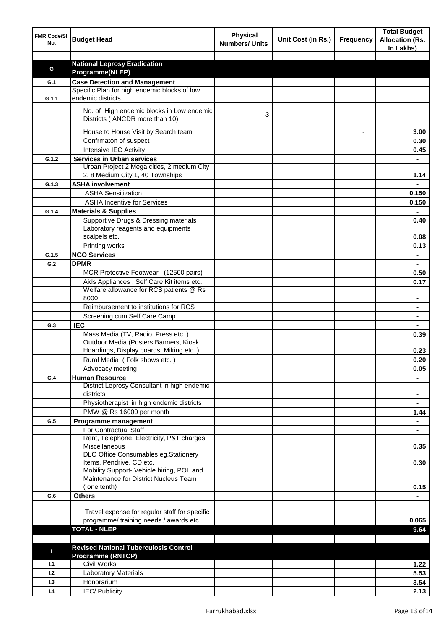| FMR Code/SI.<br>No. | <b>Budget Head</b>                                                          | <b>Physical</b><br><b>Numbers/ Units</b> | Unit Cost (in Rs.) | <b>Frequency</b> | <b>Total Budget</b><br><b>Allocation (Rs.</b><br>In Lakhs) |
|---------------------|-----------------------------------------------------------------------------|------------------------------------------|--------------------|------------------|------------------------------------------------------------|
|                     |                                                                             |                                          |                    |                  |                                                            |
| G                   | <b>National Leprosy Eradication</b>                                         |                                          |                    |                  |                                                            |
|                     | Programme(NLEP)                                                             |                                          |                    |                  |                                                            |
| G.1                 | <b>Case Detection and Management</b>                                        |                                          |                    |                  |                                                            |
| G.1.1               | Specific Plan for high endemic blocks of low<br>endemic districts           |                                          |                    |                  |                                                            |
|                     | No. of High endemic blocks in Low endemic<br>Districts (ANCDR more than 10) | 3                                        |                    |                  |                                                            |
|                     | House to House Visit by Search team                                         |                                          |                    |                  | 3.00                                                       |
|                     | Confrmaton of suspect                                                       |                                          |                    |                  | 0.30                                                       |
|                     | Intensive IEC Activity                                                      |                                          |                    |                  | 0.45                                                       |
| G.1.2               | <b>Services in Urban services</b>                                           |                                          |                    |                  |                                                            |
|                     | Urban Project 2 Mega cities, 2 medium City                                  |                                          |                    |                  |                                                            |
|                     | 2, 8 Medium City 1, 40 Townships                                            |                                          |                    |                  | 1.14                                                       |
| G.1.3               | <b>ASHA involvement</b>                                                     |                                          |                    |                  |                                                            |
|                     | <b>ASHA Sensitization</b>                                                   |                                          |                    |                  | 0.150                                                      |
|                     | <b>ASHA Incentive for Services</b>                                          |                                          |                    |                  | 0.150                                                      |
| G.1.4               | <b>Materials &amp; Supplies</b>                                             |                                          |                    |                  |                                                            |
|                     | Supportive Drugs & Dressing materials                                       |                                          |                    |                  | 0.40                                                       |
|                     | Laboratory reagents and equipments                                          |                                          |                    |                  |                                                            |
|                     | scalpels etc.                                                               |                                          |                    |                  | 0.08                                                       |
|                     | Printing works                                                              |                                          |                    |                  | 0.13                                                       |
| G.1.5               | <b>NGO Services</b>                                                         |                                          |                    |                  | $\blacksquare$                                             |
| G.2                 | <b>DPMR</b>                                                                 |                                          |                    |                  | $\blacksquare$                                             |
|                     | MCR Protective Footwear (12500 pairs)                                       |                                          |                    |                  | 0.50                                                       |
|                     | Aids Appliances, Self Care Kit items etc.                                   |                                          |                    |                  | 0.17                                                       |
|                     | Welfare allowance for RCS patients @ Rs<br>8000                             |                                          |                    |                  |                                                            |
|                     | Reimbursement to institutions for RCS                                       |                                          |                    |                  |                                                            |
|                     | Screening cum Self Care Camp                                                |                                          |                    |                  |                                                            |
| G.3                 | <b>IEC</b>                                                                  |                                          |                    |                  |                                                            |
|                     | Mass Media (TV, Radio, Press etc.)                                          |                                          |                    |                  | 0.39                                                       |
|                     | Outdoor Media (Posters, Banners, Kiosk,                                     |                                          |                    |                  |                                                            |
|                     | Hoardings, Display boards, Miking etc.)                                     |                                          |                    |                  | 0.23                                                       |
|                     | Rural Media (Folk shows etc.)                                               |                                          |                    |                  | 0.20                                                       |
|                     | Advocacy meeting                                                            |                                          |                    |                  | 0.05                                                       |
| G.4                 | <b>Human Resource</b>                                                       |                                          |                    |                  |                                                            |
|                     | District Leprosy Consultant in high endemic<br>districts                    |                                          |                    |                  | $\blacksquare$                                             |
|                     | Physiotherapist in high endemic districts                                   |                                          |                    |                  | $\blacksquare$                                             |
|                     | PMW @ Rs 16000 per month                                                    |                                          |                    |                  | 1.44                                                       |
| G.5                 | Programme management                                                        |                                          |                    |                  | $\blacksquare$                                             |
|                     | For Contractual Staff                                                       |                                          |                    |                  |                                                            |
|                     | Rent, Telephone, Electricity, P&T charges,                                  |                                          |                    |                  |                                                            |
|                     | Miscellaneous                                                               |                                          |                    |                  | 0.35                                                       |
|                     | DLO Office Consumables eg.Stationery                                        |                                          |                    |                  |                                                            |
|                     | Items, Pendrive, CD etc.<br>Mobility Support- Vehicle hiring, POL and       |                                          |                    |                  | 0.30                                                       |
|                     | Maintenance for District Nucleus Team                                       |                                          |                    |                  |                                                            |
|                     | (one tenth)                                                                 |                                          |                    |                  | 0.15                                                       |
| G.6                 | <b>Others</b>                                                               |                                          |                    |                  |                                                            |
|                     |                                                                             |                                          |                    |                  |                                                            |
|                     | Travel expense for regular staff for specific                               |                                          |                    |                  |                                                            |
|                     | programme/ training needs / awards etc.                                     |                                          |                    |                  | 0.065                                                      |
|                     | <b>TOTAL - NLEP</b>                                                         |                                          |                    |                  | 9.64                                                       |
|                     |                                                                             |                                          |                    |                  |                                                            |
| п                   | <b>Revised National Tuberculosis Control</b>                                |                                          |                    |                  |                                                            |
|                     | <b>Programme (RNTCP)</b>                                                    |                                          |                    |                  |                                                            |
| 1.1                 | <b>Civil Works</b>                                                          |                                          |                    |                  | 1.22                                                       |
| 1.2                 | <b>Laboratory Materials</b>                                                 |                                          |                    |                  | 5.53                                                       |
| 1.3                 | Honorarium                                                                  |                                          |                    |                  | 3.54                                                       |
| 1.4                 | IEC/Publicity                                                               |                                          |                    |                  | 2.13                                                       |